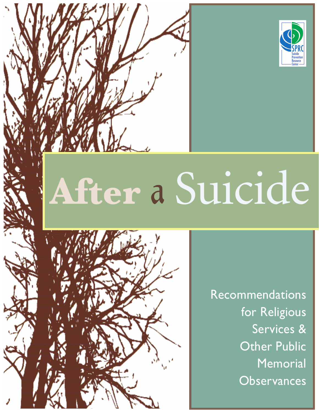

# **After** a Suicide



Recommendations for Religious Services & Other Public **Memorial Observances**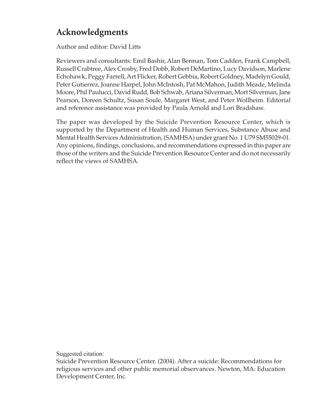# **Acknowledgments**

Author and editor: David Litts

Reviewers and consultants: Emil Bashir, Alan Berman, Tom Cadden, Frank Campbell, Russell Crabtree, Alex Crosby, Fred Dobb, Robert DeMartino, Lucy Davidson, Marlene Echohawk, Peggy Farrell, Art Flicker, Robert Gebbia, Robert Goldney, Madelyn Gould, Peter Gutierrez, Joanne Harpel, John McIntosh, Pat McMahon, Judith Meade, Melinda Moore, Phil Paulucci, David Rudd, Bob Schwab, Ariana Silverman, Mort Silverman, Jane Pearson, Doreen Schultz, Susan Soule, Margaret West, and Peter Wollheim. Editorial and reference assistance was provided by Paula Arnold and Lori Bradshaw.

The paper was developed by the Suicide Prevention Resource Center, which is supported by the Department of Health and Human Services, Substance Abuse and Mental Health Services Administration, (SAMHSA) under grant No. 1 U79 SM55029-01. Any opinions, findings, conclusions, and recommendations expressed in this paper are those of the writers and the Suicide Prevention Resource Center and do not necessarily reflect the views of SAMHSA.

Suggested citation:

Suicide Prevention Resource Center. (2004). After a suicide: Recommendations for religious services and other public memorial observances. Newton, MA: Education Development Center, Inc.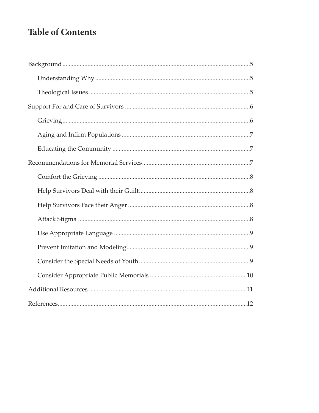# **Table of Contents**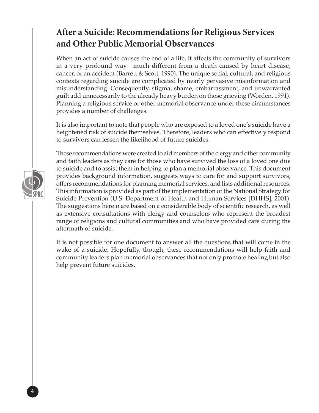# **After a Suicide: Recommendations for Religious Services and Other Public Memorial Observances**

When an act of suicide causes the end of a life, it affects the community of survivors in a very profound way—much different from a death caused by heart disease, cancer, or an accident (Barrett & Scott, 1990). The unique social, cultural, and religious contexts regarding suicide are complicated by nearly pervasive misinformation and misunderstanding. Consequently, stigma, shame, embarrassment, and unwarranted guilt add unnecessarily to the already heavy burden on those grieving (Worden, 1991). Planning a religious service or other memorial observance under these circumstances provides a number of challenges.

It is also important to note that people who are exposed to a loved one's suicide have a heightened risk of suicide themselves. Therefore, leaders who can effectively respond to survivors can lessen the likelihood of future suicides.

These recommendations were created to aid members of the clergy and other community and faith leaders as they care for those who have survived the loss of a loved one due to suicide and to assist them in helping to plan a memorial observance. This document provides background information, suggests ways to care for and support survivors, offers recommendations for planning memorial services, and lists additional resources. This information is provided as part of the implementation of the National Strategy for Suicide Prevention (U.S. Department of Health and Human Services [DHHS], 2001). The suggestions herein are based on a considerable body of scientific research, as well as extensive consultations with clergy and counselors who represent the broadest range of religions and cultural communities and who have provided care during the aftermath of suicide.

It is not possible for one document to answer all the questions that will come in the wake of a suicide. Hopefully, though, these recommendations will help faith and community leaders plan memorial observances that not only promote healing but also help prevent future suicides.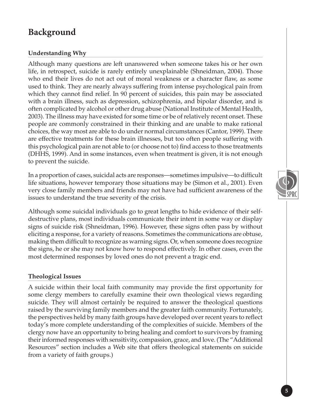# **Background**

#### **Understanding Why**

Although many questions are left unanswered when someone takes his or her own life, in retrospect, suicide is rarely entirely unexplainable (Shneidman, 2004). Those who end their lives do not act out of moral weakness or a character flaw, as some used to think. They are nearly always suffering from intense psychological pain from which they cannot find relief. In 90 percent of suicides, this pain may be associated with a brain illness, such as depression, schizophrenia, and bipolar disorder, and is often complicated by alcohol or other drug abuse (National Institute of Mental Health, 2003). The illness may have existed for some time or be of relatively recent onset. These people are commonly constrained in their thinking and are unable to make rational choices, the way most are able to do under normal circumstances (Cantor, 1999). There are effective treatments for these brain illnesses, but too often people suffering with this psychological pain are not able to (or choose not to) find access to those treatments (DHHS, 1999). And in some instances, even when treatment is given, it is not enough to prevent the suicide.

In a proportion of cases, suicidal acts are responses—sometimes impulsive—to difficult life situations, however temporary those situations may be (Simon et al., 2001). Even very close family members and friends may not have had sufficient awareness of the issues to understand the true severity of the crisis.

Although some suicidal individuals go to great lengths to hide evidence of their selfdestructive plans, most individuals communicate their intent in some way or display signs of suicide risk (Shneidman, 1996). However, these signs often pass by without eliciting a response, for a variety of reasons. Sometimes the communications are obtuse, making them difficult to recognize as warning signs. Or, when someone does recognize the signs, he or she may not know how to respond effectively. In other cases, even the most determined responses by loved ones do not prevent a tragic end.

#### **Theological Issues**

A suicide within their local faith community may provide the first opportunity for some clergy members to carefully examine their own theological views regarding suicide. They will almost certainly be required to answer the theological questions raised by the surviving family members and the greater faith community. Fortunately, the perspectives held by many faith groups have developed over recent years to reflect today's more complete understanding of the complexities of suicide. Members of the clergy now have an opportunity to bring healing and comfort to survivors by framing their informed responses with sensitivity, compassion, grace, and love. (The "Additional Resources" section includes a Web site that offers theological statements on suicide from a variety of faith groups.)

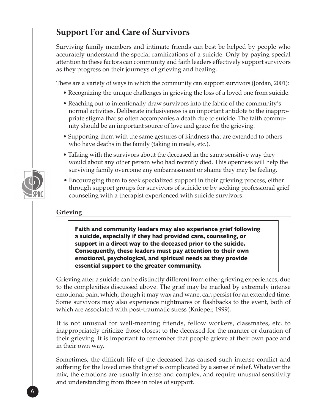# **Support For and Care of Survivors**

Surviving family members and intimate friends can best be helped by people who accurately understand the special ramifications of a suicide. Only by paying special attention to these factors can community and faith leaders effectively support survivors as they progress on their journeys of grieving and healing.

There are a variety of ways in which the community can support survivors (Jordan, 2001):

- Recognizing the unique challenges in grieving the loss of a loved one from suicide.
- Reaching out to intentionally draw survivors into the fabric of the community's normal activities. Deliberate inclusiveness is an important antidote to the inappropriate stigma that so often accompanies a death due to suicide. The faith community should be an important source of love and grace for the grieving.
- Supporting them with the same gestures of kindness that are extended to others who have deaths in the family (taking in meals, etc.).
- Talking with the survivors about the deceased in the same sensitive way they would about any other person who had recently died. This openness will help the surviving family overcome any embarrassment or shame they may be feeling.
- Encouraging them to seek specialized support in their grieving process, either through support groups for survivors of suicide or by seeking professional grief counseling with a therapist experienced with suicide survivors.

#### **Grieving**

**Faith and community leaders may also experience grief following a suicide, especially if they had provided care, counseling, or support in a direct way to the deceased prior to the suicide. Consequently, these leaders must pay attention to their own emotional, psychological, and spiritual needs as they provide essential support to the greater community.**

Grieving after a suicide can be distinctly different from other grieving experiences, due to the complexities discussed above. The grief may be marked by extremely intense emotional pain, which, though it may wax and wane, can persist for an extended time. Some survivors may also experience nightmares or flashbacks to the event, both of which are associated with post-traumatic stress (Knieper, 1999).

It is not unusual for well-meaning friends, fellow workers, classmates, etc. to inappropriately criticize those closest to the deceased for the manner or duration of their grieving. It is important to remember that people grieve at their own pace and in their own way.

Sometimes, the difficult life of the deceased has caused such intense conflict and suffering for the loved ones that grief is complicated by a sense of relief. Whatever the mix, the emotions are usually intense and complex, and require unusual sensitivity and understanding from those in roles of support.

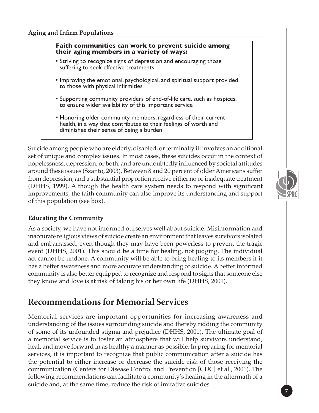#### **Faith communities can work to prevent suicide among their aging members in a variety of ways:**

- Striving to recognize signs of depression and encouraging those suffering to seek effective treatments
- Improving the emotional, psychological, and spiritual support provided to those with physical infirmities
- Supporting community providers of end-of-life care, such as hospices, to ensure wider availability of this important service
- Honoring older community members, regardless of their current health, in a way that contributes to their feelings of worth and diminishes their sense of being a burden

Suicide among people who are elderly, disabled, or terminally ill involves an additional set of unique and complex issues. In most cases, these suicides occur in the context of hopelessness, depression, or both, and are undoubtedly influenced by societal attitudes around these issues (Szanto, 2003). Between 8 and 20 percent of older Americans suffer from depression, and a substantial proportion receive either no or inadequate treatment (DHHS, 1999). Although the health care system needs to respond with significant improvements, the faith community can also improve its understanding and support of this population (see box).

#### **Educating the Community**

As a society, we have not informed ourselves well about suicide. Misinformation and inaccurate religious views of suicide create an environment that leaves survivors isolated and embarrassed, even though they may have been powerless to prevent the tragic event (DHHS, 2001). This should be a time for healing, not judging. The individual act cannot be undone. A community will be able to bring healing to its members if it has a better awareness and more accurate understanding of suicide. A better informed community is also better equipped to recognize and respond to signs that someone else they know and love is at risk of taking his or her own life (DHHS, 2001).

### **Recommendations for Memorial Services**

Memorial services are important opportunities for increasing awareness and understanding of the issues surrounding suicide and thereby ridding the community of some of its unfounded stigma and prejudice (DHHS, 2001). The ultimate goal of a memorial service is to foster an atmosphere that will help survivors understand, heal, and move forward in as healthy a manner as possible. In preparing for memorial services, it is important to recognize that public communication after a suicide has the potential to either increase or decrease the suicide risk of those receiving the communication (Centers for Disease Control and Prevention [CDC] et al., 2001). The following recommendations can facilitate a community's healing in the aftermath of a suicide and, at the same time, reduce the risk of imitative suicides.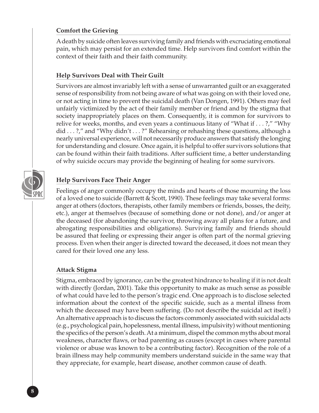#### **Comfort the Grieving**

A death by suicide often leaves surviving family and friends with excruciating emotional pain, which may persist for an extended time. Help survivors find comfort within the context of their faith and their faith community.

#### **Help Survivors Deal with Their Guilt**

Survivors are almost invariably left with a sense of unwarranted guilt or an exaggerated sense of responsibility from not being aware of what was going on with their loved one, or not acting in time to prevent the suicidal death (Van Dongen, 1991). Others may feel unfairly victimized by the act of their family member or friend and by the stigma that society inappropriately places on them. Consequently, it is common for survivors to relive for weeks, months, and even years a continuous litany of "What if . . . ?," "Why did . . . ?," and "Why didn't . . . ?" Rehearsing or rehashing these questions, although a nearly universal experience, will not necessarily produce answers that satisfy the longing for understanding and closure. Once again, it is helpful to offer survivors solutions that can be found within their faith traditions. After sufficient time, a better understanding of why suicide occurs may provide the beginning of healing for some survivors.



#### **Help Survivors Face Their Anger**

Feelings of anger commonly occupy the minds and hearts of those mourning the loss of a loved one to suicide (Barrett & Scott, 1990). These feelings may take several forms: anger at others (doctors, therapists, other family members or friends, bosses, the deity, etc.), anger at themselves (because of something done or not done), and/or anger at the deceased (for abandoning the survivor, throwing away all plans for a future, and abrogating responsibilities and obligations). Surviving family and friends should be assured that feeling or expressing their anger is often part of the normal grieving process. Even when their anger is directed toward the deceased, it does not mean they cared for their loved one any less.

#### **Attack Stigma**

Stigma, embraced by ignorance, can be the greatest hindrance to healing if it is not dealt with directly (Jordan, 2001). Take this opportunity to make as much sense as possible of what could have led to the person's tragic end. One approach is to disclose selected information about the context of the specific suicide, such as a mental illness from which the deceased may have been suffering. (Do not describe the suicidal act itself.) An alternative approach is to discuss the factors commonly associated with suicidal acts (e.g., psychological pain, hopelessness, mental illness, impulsivity) without mentioning the specifics of the person's death. At a minimum, dispel the common myths about moral weakness, character flaws, or bad parenting as causes (except in cases where parental violence or abuse was known to be a contributing factor). Recognition of the role of a brain illness may help community members understand suicide in the same way that they appreciate, for example, heart disease, another common cause of death.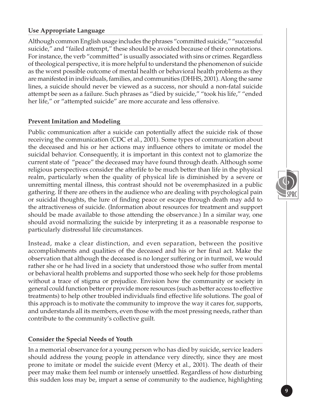#### **Use Appropriate Language**

Although common English usage includes the phrases "committed suicide," "successful suicide," and "failed attempt," these should be avoided because of their connotations. For instance, the verb "committed" is usually associated with sins or crimes. Regardless of theological perspective, it is more helpful to understand the phenomenon of suicide as the worst possible outcome of mental health or behavioral health problems as they are manifested in individuals, families, and communities (DHHS, 2001). Along the same lines, a suicide should never be viewed as a success, nor should a non-fatal suicide attempt be seen as a failure. Such phrases as "died by suicide," "took his life," "ended her life," or "attempted suicide" are more accurate and less offensive.

#### **Prevent Imitation and Modeling**

Public communication after a suicide can potentially affect the suicide risk of those receiving the communication (CDC et al., 2001). Some types of communication about the deceased and his or her actions may influence others to imitate or model the suicidal behavior. Consequently, it is important in this context not to glamorize the current state of "peace" the deceased may have found through death. Although some religious perspectives consider the afterlife to be much better than life in the physical realm, particularly when the quality of physical life is diminished by a severe or unremitting mental illness, this contrast should not be overemphasized in a public gathering. If there are others in the audience who are dealing with psychological pain or suicidal thoughts, the lure of finding peace or escape through death may add to the attractiveness of suicide. (Information about resources for treatment and support should be made available to those attending the observance.) In a similar way, one should avoid normalizing the suicide by interpreting it as a reasonable response to particularly distressful life circumstances.

Instead, make a clear distinction, and even separation, between the positive accomplishments and qualities of the deceased and his or her final act. Make the observation that although the deceased is no longer suffering or in turmoil, we would rather she or he had lived in a society that understood those who suffer from mental or behavioral health problems and supported those who seek help for those problems without a trace of stigma or prejudice. Envision how the community or society in general could function better or provide more resources (such as better access to effective treatments) to help other troubled individuals find effective life solutions. The goal of this approach is to motivate the community to improve the way it cares for, supports, and understands all its members, even those with the most pressing needs, rather than contribute to the community's collective guilt.

#### **Consider the Special Needs of Youth**

In a memorial observance for a young person who has died by suicide, service leaders should address the young people in attendance very directly, since they are most prone to imitate or model the suicide event (Mercy et al., 2001). The death of their peer may make them feel numb or intensely unsettled. Regardless of how disturbing this sudden loss may be, impart a sense of community to the audience, highlighting

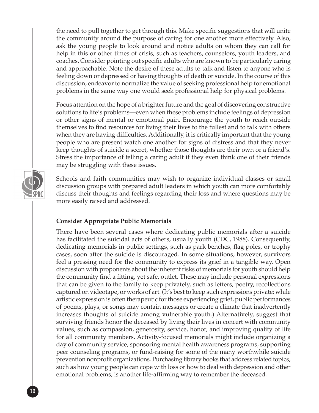the need to pull together to get through this. Make specific suggestions that will unite the community around the purpose of caring for one another more effectively. Also, ask the young people to look around and notice adults on whom they can call for help in this or other times of crisis, such as teachers, counselors, youth leaders, and coaches. Consider pointing out specific adults who are known to be particularly caring and approachable. Note the desire of these adults to talk and listen to anyone who is feeling down or depressed or having thoughts of death or suicide. In the course of this discussion, endeavor to normalize the value of seeking professional help for emotional problems in the same way one would seek professional help for physical problems.

Focus attention on the hope of a brighter future and the goal of discovering constructive solutions to life's problems—even when these problems include feelings of depression or other signs of mental or emotional pain. Encourage the youth to reach outside themselves to find resources for living their lives to the fullest and to talk with others when they are having difficulties. Additionally, it is critically important that the young people who are present watch one another for signs of distress and that they never keep thoughts of suicide a secret, whether those thoughts are their own or a friend's. Stress the importance of telling a caring adult if they even think one of their friends may be struggling with these issues.

Schools and faith communities may wish to organize individual classes or small discussion groups with prepared adult leaders in which youth can more comfortably discuss their thoughts and feelings regarding their loss and where questions may be more easily raised and addressed.

#### **Consider Appropriate Public Memorials**

There have been several cases where dedicating public memorials after a suicide has facilitated the suicidal acts of others, usually youth (CDC, 1988). Consequently, dedicating memorials in public settings, such as park benches, flag poles, or trophy cases, soon after the suicide is discouraged. In some situations, however, survivors feel a pressing need for the community to express its grief in a tangible way. Open discussion with proponents about the inherent risks of memorials for youth should help the community find a fitting, yet safe, outlet. These may include personal expressions that can be given to the family to keep privately, such as letters, poetry, recollections captured on videotape, or works of art. (It's best to keep such expressions private; while artistic expression is often therapeutic for those experiencing grief, public performances of poems, plays, or songs may contain messages or create a climate that inadvertently increases thoughts of suicide among vulnerable youth.) Alternatively, suggest that surviving friends honor the deceased by living their lives in concert with community values, such as compassion, generosity, service, honor, and improving quality of life for all community members. Activity-focused memorials might include organizing a day of community service, sponsoring mental health awareness programs, supporting peer counseling programs, or fund-raising for some of the many worthwhile suicide prevention nonprofit organizations. Purchasing library books that address related topics, such as how young people can cope with loss or how to deal with depression and other emotional problems, is another life-affirming way to remember the deceased.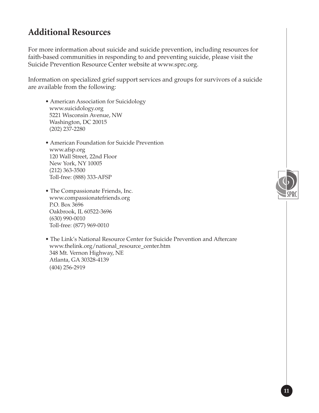# **Additional Resources**

For more information about suicide and suicide prevention, including resources for faith-based communities in responding to and preventing suicide, please visit the Suicide Prevention Resource Center website at www.sprc.org.

Information on specialized grief support services and groups for survivors of a suicide are available from the following:

- American Association for Suicidology www.suicidology.org 5221 Wisconsin Avenue, NW Washington, DC 20015 (202) 237-2280
- American Foundation for Suicide Prevention www.afsp.org 120 Wall Street, 22nd Floor New York, NY 10005 (212) 363-3500 Toll-free: (888) 333-AFSP
- The Compassionate Friends, Inc. www.compassionatefriends.org P.O. Box 3696 Oakbrook, IL 60522-3696 (630) 990-0010 Toll-free: (877) 969-0010

• The Link's National Resource Center for Suicide Prevention and Aftercare www.thelink.org/national\_resource\_center.htm 348 Mt. Vernon Highway, NE Atlanta, GA 30328-4139 (404) 256-2919

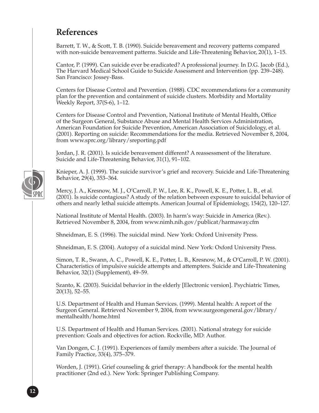# **References**

Barrett, T. W., & Scott, T. B. (1990). Suicide bereavement and recovery patterns compared with non-suicide bereavement patterns. Suicide and Life-Threatening Behavior, 20(1), 1–15.

Cantor, P. (1999). Can suicide ever be eradicated? A professional journey. In D.G. Jacob (Ed.), The Harvard Medical School Guide to Suicide Assessment and Intervention (pp. 239–248). San Francisco: Jossey-Bass.

Centers for Disease Control and Prevention. (1988). CDC recommendations for a community plan for the prevention and containment of suicide clusters. Morbidity and Mortality Weekly Report, 37(S-6), 1–12.

Centers for Disease Control and Prevention, National Institute of Mental Health, Office of the Surgeon General, Substance Abuse and Mental Health Services Administration, American Foundation for Suicide Prevention, American Association of Suicidology, et al. (2001). Reporting on suicide: Recommendations for the media. Retrieved November 8, 2004, from www.sprc.org/library/sreporting.pdf

Jordan, J. R. (2001). Is suicide bereavement different? A reassessment of the literature. Suicide and Life-Threatening Behavior, 31(1), 91–102.

Knieper, A. J. (1999). The suicide survivor's grief and recovery. Suicide and Life-Threatening Behavior, 29(4), 353–364.

Mercy, J. A., Kresnow, M. J., O'Carroll, P. W., Lee, R. K., Powell, K. E., Potter, L. B., et al. (2001). Is suicide contagious? A study of the relation between exposure to suicidal behavior of others and nearly lethal suicide attempts. American Journal of Epidemiology, 154(2), 120–127.

National Institute of Mental Health. (2003). In harm's way: Suicide in America (Rev.). Retrieved November 8, 2004, from www.nimh.nih.gov/publicat/harmaway.cfm

Shneidman, E. S. (1996). The suicidal mind. New York: Oxford University Press.

Shneidman, E. S. (2004). Autopsy of a suicidal mind. New York: Oxford University Press.

Simon, T. R., Swann, A. C., Powell, K. E., Potter, L. B., Kresnow, M., & O'Carroll, P. W. (2001). Characteristics of impulsive suicide attempts and attempters. Suicide and Life-Threatening Behavior, 32(1) (Supplement), 49–59.

Szanto, K. (2003). Suicidal behavior in the elderly [Electronic version]. Psychiatric Times, 20(13), 52–55.

U.S. Department of Health and Human Services. (1999). Mental health: A report of the Surgeon General. Retrieved November 9, 2004, from www.surgeongeneral.gov/library/ mentalhealth/home.html

U.S. Department of Health and Human Services. (2001). National strategy for suicide prevention: Goals and objectives for action. Rockville, MD: Author.

Van Dongen, C. J. (1991). Experiences of family members after a suicide. The Journal of Family Practice, 33(4), 375–379.

Worden, J. (1991). Grief counseling & grief therapy: A handbook for the mental health practitioner (2nd ed.). New York: Springer Publishing Company.